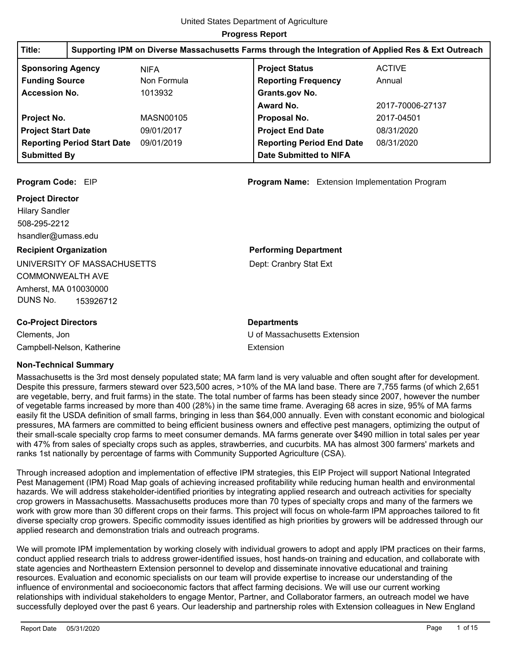| Title:                                  | Supporting IPM on Diverse Massachusetts Farms through the Integration of Applied Res & Ext Outreach |                       |                                  |                  |
|-----------------------------------------|-----------------------------------------------------------------------------------------------------|-----------------------|----------------------------------|------------------|
| <b>Sponsoring Agency</b><br><b>NIFA</b> |                                                                                                     | <b>Project Status</b> | <b>ACTIVE</b>                    |                  |
| <b>Funding Source</b>                   |                                                                                                     | Non Formula           | <b>Reporting Frequency</b>       | Annual           |
| <b>Accession No.</b>                    |                                                                                                     | 1013932               | Grants.gov No.                   |                  |
|                                         |                                                                                                     |                       | Award No.                        | 2017-70006-27137 |
| Project No.                             |                                                                                                     | MASN00105             | Proposal No.                     | 2017-04501       |
| <b>Project Start Date</b>               |                                                                                                     | 09/01/2017            | <b>Project End Date</b>          | 08/31/2020       |
|                                         | <b>Reporting Period Start Date</b>                                                                  | 09/01/2019            | <b>Reporting Period End Date</b> | 08/31/2020       |
| <b>Submitted By</b>                     |                                                                                                     |                       | Date Submitted to NIFA           |                  |

### **Program Code:** EIP **Program Name:** Extension Implementation Program

#### **Project Director**

508-295-2212 Hilary Sandler hsandler@umass.edu

### **Recipient Organization**

UNIVERSITY OF MASSACHUSETTS COMMONWEALTH AVE Amherst, MA 010030000 DUNS No. 153926712

### **Co-Project Directors**

Clements, Jon Campbell-Nelson, Katherine

### **Non-Technical Summary**

Massachusetts is the 3rd most densely populated state; MA farm land is very valuable and often sought after for development. Despite this pressure, farmers steward over 523,500 acres, >10% of the MA land base. There are 7,755 farms (of which 2,651 are vegetable, berry, and fruit farms) in the state. The total number of farms has been steady since 2007, however the number of vegetable farms increased by more than 400 (28%) in the same time frame. Averaging 68 acres in size, 95% of MA farms easily fit the USDA definition of small farms, bringing in less than \$64,000 annually. Even with constant economic and biological pressures, MA farmers are committed to being efficient business owners and effective pest managers, optimizing the output of their small-scale specialty crop farms to meet consumer demands. MA farms generate over \$490 million in total sales per year with 47% from sales of specialty crops such as apples, strawberries, and cucurbits. MA has almost 300 farmers' markets and ranks 1st nationally by percentage of farms with Community Supported Agriculture (CSA).

Extension

**Departments**

Through increased adoption and implementation of effective IPM strategies, this EIP Project will support National Integrated Pest Management (IPM) Road Map goals of achieving increased profitability while reducing human health and environmental hazards. We will address stakeholder-identified priorities by integrating applied research and outreach activities for specialty crop growers in Massachusetts. Massachusetts produces more than 70 types of specialty crops and many of the farmers we work with grow more than 30 different crops on their farms. This project will focus on whole-farm IPM approaches tailored to fit diverse specialty crop growers. Specific commodity issues identified as high priorities by growers will be addressed through our applied research and demonstration trials and outreach programs.

We will promote IPM implementation by working closely with individual growers to adopt and apply IPM practices on their farms, conduct applied research trials to address grower-identified issues, host hands-on training and education, and collaborate with state agencies and Northeastern Extension personnel to develop and disseminate innovative educational and training resources. Evaluation and economic specialists on our team will provide expertise to increase our understanding of the influence of environmental and socioeconomic factors that affect farming decisions. We will use our current working relationships with individual stakeholders to engage Mentor, Partner, and Collaborator farmers, an outreach model we have successfully deployed over the past 6 years. Our leadership and partnership roles with Extension colleagues in New England

### **Performing Department**

U of Massachusetts Extension

Dept: Cranbry Stat Ext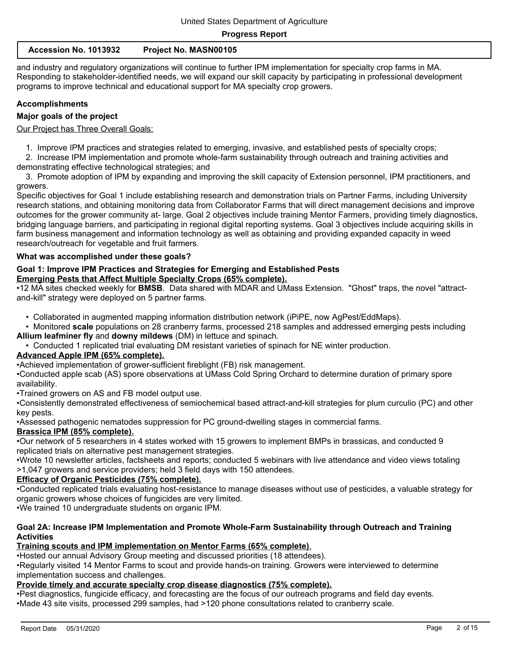| Accession No. 1013932 | Project No. MASN00105 |
|-----------------------|-----------------------|
|-----------------------|-----------------------|

and industry and regulatory organizations will continue to further IPM implementation for specialty crop farms in MA. Responding to stakeholder-identified needs, we will expand our skill capacity by participating in professional development programs to improve technical and educational support for MA specialty crop growers.

### **Accomplishments**

#### **Major goals of the project**

Our Project has Three Overall Goals:

1. Improve IPM practices and strategies related to emerging, invasive, and established pests of specialty crops;

 2. Increase IPM implementation and promote whole-farm sustainability through outreach and training activities and demonstrating effective technological strategies; and

 3. Promote adoption of IPM by expanding and improving the skill capacity of Extension personnel, IPM practitioners, and growers.

Specific objectives for Goal 1 include establishing research and demonstration trials on Partner Farms, including University research stations, and obtaining monitoring data from Collaborator Farms that will direct management decisions and improve outcomes for the grower community at- large. Goal 2 objectives include training Mentor Farmers, providing timely diagnostics, bridging language barriers, and participating in regional digital reporting systems. Goal 3 objectives include acquiring skills in farm business management and information technology as well as obtaining and providing expanded capacity in weed research/outreach for vegetable and fruit farmers.

### **What was accomplished under these goals?**

### **Goal 1: Improve IPM Practices and Strategies for Emerging and Established Pests Emerging Pests that Affect Multiple Specialty Crops (65% complete).**

•12 MA sites checked weekly for **BMSB**. Data shared with MDAR and UMass Extension. "Ghost" traps, the novel "attractand-kill" strategy were deployed on 5 partner farms.

• Collaborated in augmented mapping information distribution network (iPiPE, now AgPest/EddMaps).

 • Monitored **scale** populations on 28 cranberry farms, processed 218 samples and addressed emerging pests including **Allium leafminer fly** and **downy mildews** (DM) in lettuce and spinach.

• Conducted 1 replicated trial evaluating DM resistant varieties of spinach for NE winter production.

### **Advanced Apple IPM (65% complete).**

•Achieved implementation of grower-sufficient fireblight (FB) risk management.

•Conducted apple scab (AS) spore observations at UMass Cold Spring Orchard to determine duration of primary spore availability.

•Trained growers on AS and FB model output use.

•Consistently demonstrated effectiveness of semiochemical based attract-and-kill strategies for plum curculio (PC) and other key pests.

•Assessed pathogenic nematodes suppression for PC ground-dwelling stages in commercial farms.

### **Brassica IPM (85% complete).**

•Our network of 5 researchers in 4 states worked with 15 growers to implement BMPs in brassicas, and conducted 9 replicated trials on alternative pest management strategies.

•Wrote 10 newsletter articles, factsheets and reports; conducted 5 webinars with live attendance and video views totaling >1,047 growers and service providers; held 3 field days with 150 attendees.

### **Efficacy of Organic Pesticides (75% complete).**

•Conducted replicated trials evaluating host-resistance to manage diseases without use of pesticides, a valuable strategy for organic growers whose choices of fungicides are very limited.

•We trained 10 undergraduate students on organic IPM.

#### **Goal 2A: Increase IPM Implementation and Promote Whole-Farm Sustainability through Outreach and Training Activities**

#### **Training scouts and IPM implementation on Mentor Farms (65% complete)**.

•Hosted our annual Advisory Group meeting and discussed priorities (18 attendees).

•Regularly visited 14 Mentor Farms to scout and provide hands-on training. Growers were interviewed to determine implementation success and challenges.

### **Provide timely and accurate specialty crop disease diagnostics (75% complete).**

•Pest diagnostics, fungicide efficacy, and forecasting are the focus of our outreach programs and field day events. •Made 43 site visits, processed 299 samples, had >120 phone consultations related to cranberry scale.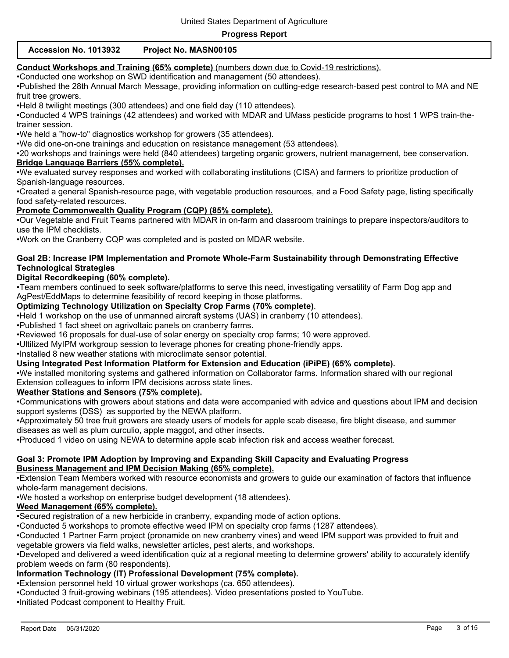### **Accession No. 1013932 Project No. MASN00105**

**Conduct Workshops and Training (65% complete)** (numbers down due to Covid-19 restrictions).

•Conducted one workshop on SWD identification and management (50 attendees).

•Published the 28th Annual March Message, providing information on cutting-edge research-based pest control to MA and NE fruit tree growers.

•Held 8 twilight meetings (300 attendees) and one field day (110 attendees).

•Conducted 4 WPS trainings (42 attendees) and worked with MDAR and UMass pesticide programs to host 1 WPS train-thetrainer session.

•We held a "how-to" diagnostics workshop for growers (35 attendees).

•We did one-on-one trainings and education on resistance management (53 attendees).

•20 workshops and trainings were held (840 attendees) targeting organic growers, nutrient management, bee conservation. **Bridge Language Barriers (55% complete).**

•We evaluated survey responses and worked with collaborating institutions (CISA) and farmers to prioritize production of Spanish-language resources.

•Created a general Spanish-resource page, with vegetable production resources, and a Food Safety page, listing specifically food safety-related resources.

### **Promote Commonwealth Quality Program (CQP) (85% complete).**

•Our Vegetable and Fruit Teams partnered with MDAR in on-farm and classroom trainings to prepare inspectors/auditors to use the IPM checklists.

•Work on the Cranberry CQP was completed and is posted on MDAR website.

### **Goal 2B: Increase IPM Implementation and Promote Whole-Farm Sustainability through Demonstrating Effective Technological Strategies**

### **Digital Recordkeeping (60% complete).**

•Team members continued to seek software/platforms to serve this need, investigating versatility of Farm Dog app and AgPest/EddMaps to determine feasibility of record keeping in those platforms.

### **Optimizing Technology Utilization on Specialty Crop Farms (70% complete)**.

•Held 1 workshop on the use of unmanned aircraft systems (UAS) in cranberry (10 attendees).

•Published 1 fact sheet on agrivoltaic panels on cranberry farms.

•Reviewed 16 proposals for dual-use of solar energy on specialty crop farms; 10 were approved.

•Ultilized MyIPM workgroup session to leverage phones for creating phone-friendly apps.

•Installed 8 new weather stations with microclimate sensor potential.

#### **Using Integrated Pest Information Platform for Extension and Education (iPiPE) (65% complete).**

•We installed monitoring systems and gathered information on Collaborator farms. Information shared with our regional Extension colleagues to inform IPM decisions across state lines.

#### **Weather Stations and Sensors (75% complete).**

•Communications with growers about stations and data were accompanied with advice and questions about IPM and decision support systems (DSS) as supported by the NEWA platform.

•Approximately 50 tree fruit growers are steady users of models for apple scab disease, fire blight disease, and summer diseases as well as plum curculio, apple maggot, and other insects.

•Produced 1 video on using NEWA to determine apple scab infection risk and access weather forecast.

### **Goal 3: Promote IPM Adoption by Improving and Expanding Skill Capacity and Evaluating Progress Business Management and IPM Decision Making (65% complete).**

•Extension Team Members worked with resource economists and growers to guide our examination of factors that influence whole-farm management decisions.

•We hosted a workshop on enterprise budget development (18 attendees).

### **Weed Management (65% complete).**

•Secured registration of a new herbicide in cranberry, expanding mode of action options.

•Conducted 5 workshops to promote effective weed IPM on specialty crop farms (1287 attendees).

•Conducted 1 Partner Farm project (pronamide on new cranberry vines) and weed IPM support was provided to fruit and vegetable growers via field walks, newsletter articles, pest alerts, and workshops.

•Developed and delivered a weed identification quiz at a regional meeting to determine growers' ability to accurately identify problem weeds on farm (80 respondents).

#### **Information Technology (IT) Professional Development (75% complete).**

•Extension personnel held 10 virtual grower workshops (ca. 650 attendees).

•Conducted 3 fruit-growing webinars (195 attendees). Video presentations posted to YouTube.

•Initiated Podcast component to Healthy Fruit.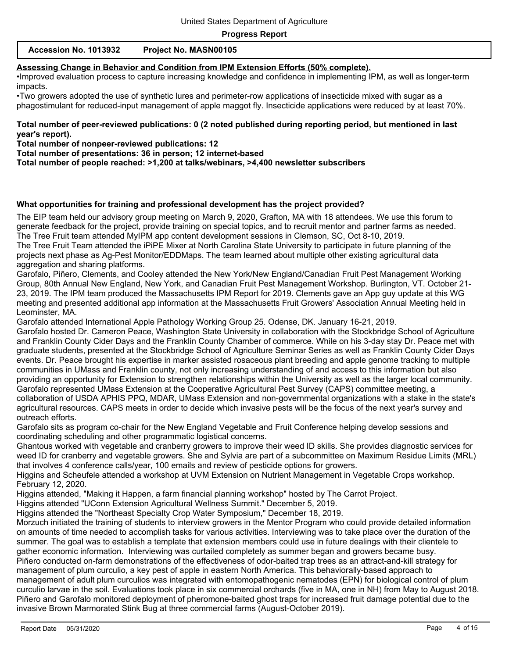| Accession No. 1013932 | Project No. MASN00105 |
|-----------------------|-----------------------|
|-----------------------|-----------------------|

### **Assessing Change in Behavior and Condition from IPM Extension Efforts (50% complete).**

•Improved evaluation process to capture increasing knowledge and confidence in implementing IPM, as well as longer-term impacts.

•Two growers adopted the use of synthetic lures and perimeter-row applications of insecticide mixed with sugar as a phagostimulant for reduced-input management of apple maggot fly. Insecticide applications were reduced by at least 70%.

#### **Total number of peer-reviewed publications: 0 (2 noted published during reporting period, but mentioned in last year's report).**

**Total number of nonpeer-reviewed publications: 12**

**Total number of presentations: 36 in person; 12 internet-based**

**Total number of people reached: >1,200 at talks/webinars, >4,400 newsletter subscribers**

#### **What opportunities for training and professional development has the project provided?**

The EIP team held our advisory group meeting on March 9, 2020, Grafton, MA with 18 attendees. We use this forum to generate feedback for the project, provide training on special topics, and to recruit mentor and partner farms as needed. The Tree Fruit team attended MyIPM app content development sessions in Clemson, SC, Oct 8-10, 2019.

The Tree Fruit Team attended the iPiPE Mixer at North Carolina State University to participate in future planning of the projects next phase as Ag-Pest Monitor/EDDMaps. The team learned about multiple other existing agricultural data aggregation and sharing platforms.

Garofalo, Piñero, Clements, and Cooley attended the New York/New England/Canadian Fruit Pest Management Working Group, 80th Annual New England, New York, and Canadian Fruit Pest Management Workshop. Burlington, VT. October 21- 23, 2019. The IPM team produced the Massachusetts IPM Report for 2019. Clements gave an App guy update at this WG meeting and presented additional app information at the Massachusetts Fruit Growers' Association Annual Meeting held in Leominster, MA.

Garofalo attended International Apple Pathology Working Group 25. Odense, DK. January 16-21, 2019.

Garofalo hosted Dr. Cameron Peace, Washington State University in collaboration with the Stockbridge School of Agriculture and Franklin County Cider Days and the Franklin County Chamber of commerce. While on his 3-day stay Dr. Peace met with graduate students, presented at the Stockbridge School of Agriculture Seminar Series as well as Franklin County Cider Days events. Dr. Peace brought his expertise in marker assisted rosaceous plant breeding and apple genome tracking to multiple communities in UMass and Franklin county, not only increasing understanding of and access to this information but also providing an opportunity for Extension to strengthen relationships within the University as well as the larger local community. Garofalo represented UMass Extension at the Cooperative Agricultural Pest Survey (CAPS) committee meeting, a collaboration of USDA APHIS PPQ, MDAR, UMass Extension and non-governmental organizations with a stake in the state's agricultural resources. CAPS meets in order to decide which invasive pests will be the focus of the next year's survey and outreach efforts.

Garofalo sits as program co-chair for the New England Vegetable and Fruit Conference helping develop sessions and coordinating scheduling and other programmatic logistical concerns.

Ghantous worked with vegetable and cranberry growers to improve their weed ID skills. She provides diagnostic services for weed ID for cranberry and vegetable growers. She and Sylvia are part of a subcommittee on Maximum Residue Limits (MRL) that involves 4 conference calls/year, 100 emails and review of pesticide options for growers.

Higgins and Scheufele attended a workshop at UVM Extension on Nutrient Management in Vegetable Crops workshop. February 12, 2020.

Higgins attended, "Making it Happen, a farm financial planning workshop" hosted by The Carrot Project.

Higgins attended "UConn Extension Agricultural Wellness Summit." December 5, 2019.

Higgins attended the "Northeast Specialty Crop Water Symposium," December 18, 2019.

Morzuch initiated the training of students to interview growers in the Mentor Program who could provide detailed information on amounts of time needed to accomplish tasks for various activities. Interviewing was to take place over the duration of the summer. The goal was to establish a template that extension members could use in future dealings with their clientele to gather economic information. Interviewing was curtailed completely as summer began and growers became busy. Piñero conducted on-farm demonstrations of the effectiveness of odor-baited trap trees as an attract-and-kill strategy for management of plum curculio, a key pest of apple in eastern North America. This behaviorally-based approach to management of adult plum curculios was integrated with entomopathogenic nematodes (EPN) for biological control of plum curculio larvae in the soil. Evaluations took place in six commercial orchards (five in MA, one in NH) from May to August 2018. Piñero and Garofalo monitored deployment of pheromone-baited ghost traps for increased fruit damage potential due to the invasive Brown Marmorated Stink Bug at three commercial farms (August-October 2019).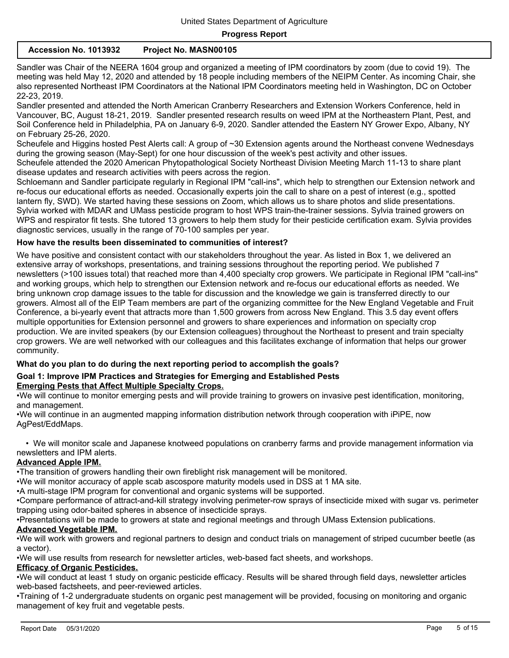| Accession No. 1013932 | Project No. MASN00105 |
|-----------------------|-----------------------|
|-----------------------|-----------------------|

Sandler was Chair of the NEERA 1604 group and organized a meeting of IPM coordinators by zoom (due to covid 19). The meeting was held May 12, 2020 and attended by 18 people including members of the NEIPM Center. As incoming Chair, she also represented Northeast IPM Coordinators at the National IPM Coordinators meeting held in Washington, DC on October 22-23, 2019.

Sandler presented and attended the North American Cranberry Researchers and Extension Workers Conference, held in Vancouver, BC, August 18-21, 2019. Sandler presented research results on weed IPM at the Northeastern Plant, Pest, and Soil Conference held in Philadelphia, PA on January 6-9, 2020. Sandler attended the Eastern NY Grower Expo, Albany, NY on February 25-26, 2020.

Scheufele and Higgins hosted Pest Alerts call: A group of ~30 Extension agents around the Northeast convene Wednesdays during the growing season (May-Sept) for one hour discussion of the week's pest activity and other issues.

Scheufele attended the 2020 American Phytopathological Society Northeast Division Meeting March 11-13 to share plant disease updates and research activities with peers across the region.

Schloemann and Sandler participate regularly in Regional IPM "call-ins", which help to strengthen our Extension network and re-focus our educational efforts as needed. Occasionally experts join the call to share on a pest of interest (e.g., spotted lantern fly, SWD). We started having these sessions on Zoom, which allows us to share photos and slide presentations. Sylvia worked with MDAR and UMass pesticide program to host WPS train-the-trainer sessions. Sylvia trained growers on WPS and respirator fit tests. She tutored 13 growers to help them study for their pesticide certification exam. Sylvia provides diagnostic services, usually in the range of 70-100 samples per year.

### **How have the results been disseminated to communities of interest?**

We have positive and consistent contact with our stakeholders throughout the year. As listed in Box 1, we delivered an extensive array of workshops, presentations, and training sessions throughout the reporting period. We published 7 newsletters (>100 issues total) that reached more than 4,400 specialty crop growers. We participate in Regional IPM "call-ins" and working groups, which help to strengthen our Extension network and re-focus our educational efforts as needed. We bring unknown crop damage issues to the table for discussion and the knowledge we gain is transferred directly to our growers. Almost all of the EIP Team members are part of the organizing committee for the New England Vegetable and Fruit Conference, a bi-yearly event that attracts more than 1,500 growers from across New England. This 3.5 day event offers multiple opportunities for Extension personnel and growers to share experiences and information on specialty crop production. We are invited speakers (by our Extension colleagues) throughout the Northeast to present and train specialty crop growers. We are well networked with our colleagues and this facilitates exchange of information that helps our grower community.

### **What do you plan to do during the next reporting period to accomplish the goals?**

#### **Goal 1: Improve IPM Practices and Strategies for Emerging and Established Pests Emerging Pests that Affect Multiple Specialty Crops.**

•We will continue to monitor emerging pests and will provide training to growers on invasive pest identification, monitoring, and management.

•We will continue in an augmented mapping information distribution network through cooperation with iPiPE, now AgPest/EddMaps.

 • We will monitor scale and Japanese knotweed populations on cranberry farms and provide management information via newsletters and IPM alerts.

#### **Advanced Apple IPM.**

•The transition of growers handling their own fireblight risk management will be monitored.

•We will monitor accuracy of apple scab ascospore maturity models used in DSS at 1 MA site.

•A multi-stage IPM program for conventional and organic systems will be supported.

•Compare performance of attract-and-kill strategy involving perimeter-row sprays of insecticide mixed with sugar vs. perimeter trapping using odor-baited spheres in absence of insecticide sprays.

•Presentations will be made to growers at state and regional meetings and through UMass Extension publications.

# **Advanced Vegetable IPM.**

•We will work with growers and regional partners to design and conduct trials on management of striped cucumber beetle (as a vector).

•We will use results from research for newsletter articles, web-based fact sheets, and workshops.

# **Efficacy of Organic Pesticides.**

•We will conduct at least 1 study on organic pesticide efficacy. Results will be shared through field days, newsletter articles web-based factsheets, and peer-reviewed articles.

•Training of 1-2 undergraduate students on organic pest management will be provided, focusing on monitoring and organic management of key fruit and vegetable pests.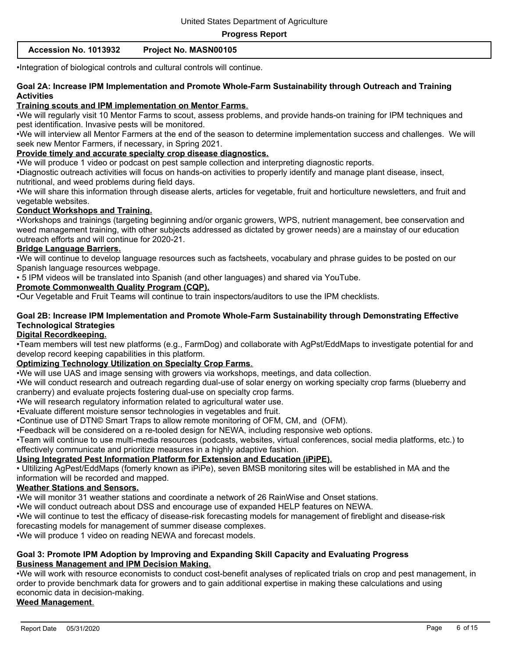| Accession No. 1013932 | <b>Project No. MASN00105</b> |  |
|-----------------------|------------------------------|--|
|-----------------------|------------------------------|--|

•Integration of biological controls and cultural controls will continue.

### **Goal 2A: Increase IPM Implementation and Promote Whole-Farm Sustainability through Outreach and Training Activities**

### **Training scouts and IPM implementation on Mentor Farms**.

•We will regularly visit 10 Mentor Farms to scout, assess problems, and provide hands-on training for IPM techniques and pest identification. Invasive pests will be monitored.

•We will interview all Mentor Farmers at the end of the season to determine implementation success and challenges. We will seek new Mentor Farmers, if necessary, in Spring 2021.

### **Provide timely and accurate specialty crop disease diagnostics.**

•We will produce 1 video or podcast on pest sample collection and interpreting diagnostic reports.

•Diagnostic outreach activities will focus on hands-on activities to properly identify and manage plant disease, insect, nutritional, and weed problems during field days.

•We will share this information through disease alerts, articles for vegetable, fruit and horticulture newsletters, and fruit and vegetable websites.

### **Conduct Workshops and Training.**

•Workshops and trainings (targeting beginning and/or organic growers, WPS, nutrient management, bee conservation and weed management training, with other subjects addressed as dictated by grower needs) are a mainstay of our education outreach efforts and will continue for 2020-21.

### **Bridge Language Barriers.**

•We will continue to develop language resources such as factsheets, vocabulary and phrase guides to be posted on our Spanish language resources webpage.

• 5 IPM videos will be translated into Spanish (and other languages) and shared via YouTube.

### **Promote Commonwealth Quality Program (CQP).**

•Our Vegetable and Fruit Teams will continue to train inspectors/auditors to use the IPM checklists.

### **Goal 2B: Increase IPM Implementation and Promote Whole-Farm Sustainability through Demonstrating Effective Technological Strategies**

### **Digital Recordkeeping.**

•Team members will test new platforms (e.g., FarmDog) and collaborate with AgPst/EddMaps to investigate potential for and develop record keeping capabilities in this platform.

### **Optimizing Technology Utilization on Specialty Crop Farms**.

•We will use UAS and image sensing with growers via workshops, meetings, and data collection.

•We will conduct research and outreach regarding dual-use of solar energy on working specialty crop farms (blueberry and cranberry) and evaluate projects fostering dual-use on specialty crop farms.

•We will research regulatory information related to agricultural water use.

•Evaluate different moisture sensor technologies in vegetables and fruit.

•Continue use of DTN© Smart Traps to allow remote monitoring of OFM, CM, and (OFM).

•Feedback will be considered on a re-tooled design for NEWA, including responsive web options.

•Team will continue to use multi-media resources (podcasts, websites, virtual conferences, social media platforms, etc.) to effectively communicate and prioritize measures in a highly adaptive fashion.

### **Using Integrated Pest Information Platform for Extension and Education (iPiPE).**

• Ultilizing AgPest/EddMaps (fomerly known as iPiPe), seven BMSB monitoring sites will be established in MA and the information will be recorded and mapped.

### **Weather Stations and Sensors.**

•We will monitor 31 weather stations and coordinate a network of 26 RainWise and Onset stations.

•We will conduct outreach about DSS and encourage use of expanded HELP features on NEWA.

•We will continue to test the efficacy of disease-risk forecasting models for management of fireblight and disease-risk

forecasting models for management of summer disease complexes.

•We will produce 1 video on reading NEWA and forecast models.

#### **Goal 3: Promote IPM Adoption by Improving and Expanding Skill Capacity and Evaluating Progress Business Management and IPM Decision Making.**

•We will work with resource economists to conduct cost-benefit analyses of replicated trials on crop and pest management, in order to provide benchmark data for growers and to gain additional expertise in making these calculations and using economic data in decision-making.

#### **Weed Management**.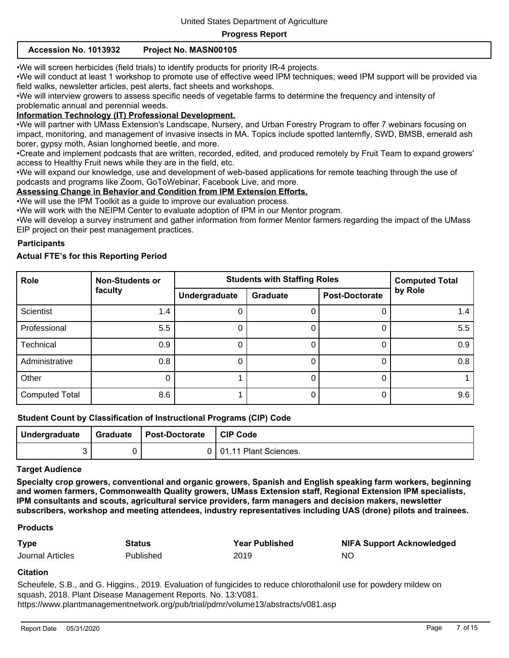### **Accession No. 1013932 Project No. MASN00105**

•We will screen herbicides (field trials) to identify products for priority IR-4 projects.

•We will conduct at least 1 workshop to promote use of effective weed IPM techniques; weed IPM support will be provided via field walks, newsletter articles, pest alerts, fact sheets and workshops.

•We will interview growers to assess specific needs of vegetable farms to determine the frequency and intensity of problematic annual and perennial weeds.

#### **Information Technology (IT) Professional Development.**

•We will partner with UMass Extension's Landscape, Nursery, and Urban Forestry Program to offer 7 webinars focusing on impact, monitoring, and management of invasive insects in MA. Topics include spotted lanternfly, SWD, BMSB, emerald ash borer, gypsy moth, Asian longhorned beetle, and more.

•Create and implement podcasts that are written, recorded, edited, and produced remotely by Fruit Team to expand growers' access to Healthy Fruit news while they are in the field, etc.

•We will expand our knowledge, use and development of web-based applications for remote teaching through the use of podcasts and programs like Zoom, GoToWebinar, Facebook Live, and more.

#### **Assessing Change in Behavior and Condition from IPM Extension Efforts.**

•We will use the IPM Toolkit as a guide to improve our evaluation process.

•We will work with the NEIPM Center to evaluate adoption of IPM in our Mentor program.

•We will develop a survey instrument and gather information from former Mentor farmers regarding the impact of the UMass EIP project on their pest management practices.

#### **Participants**

### **Actual FTE's for this Reporting Period**

| Role                  | <b>Non-Students or</b> | <b>Students with Staffing Roles</b> | <b>Computed Total</b> |                       |         |
|-----------------------|------------------------|-------------------------------------|-----------------------|-----------------------|---------|
|                       | faculty                | Undergraduate                       | <b>Graduate</b>       | <b>Post-Doctorate</b> | by Role |
| Scientist             | 1.4                    |                                     |                       | 0                     | 1.4     |
| Professional          | 5.5                    | 0                                   |                       | 0                     | 5.5     |
| Technical             | 0.9                    |                                     |                       | 0                     | 0.9     |
| Administrative        | 0.8                    |                                     |                       | 0                     | 0.8     |
| Other                 | -0                     |                                     | 0                     | $\Omega$              |         |
| <b>Computed Total</b> | 8.6                    |                                     |                       | 0                     | 9.6     |

#### **Student Count by Classification of Instructional Programs (CIP) Code**

| Undergraduate | Graduate | <b>Post-Doctorate</b> | CIP Code                  |
|---------------|----------|-----------------------|---------------------------|
|               |          |                       | 0   01.11 Plant Sciences. |

#### **Target Audience**

**Specialty crop growers, conventional and organic growers, Spanish and English speaking farm workers, beginning and women farmers, Commonwealth Quality growers, UMass Extension staff, Regional Extension IPM specialists, IPM consultants and scouts, agricultural service providers, farm managers and decision makers, newsletter subscribers, workshop and meeting attendees, industry representatives including UAS (drone) pilots and trainees.**

#### **Products**

| <b>Type</b>      | Status    | <b>Year Published</b> | <b>NIFA Support Acknowledged</b> |
|------------------|-----------|-----------------------|----------------------------------|
| Journal Articles | Published | 2019                  | <b>NO</b>                        |

#### **Citation**

Scheufele, S.B., and G. Higgins., 2019. Evaluation of fungicides to reduce chlorothalonil use for powdery mildew on squash, 2018. Plant Disease Management Reports. No. 13:V081. https://www.plantmanagementnetwork.org/pub/trial/pdmr/volume13/abstracts/v081.asp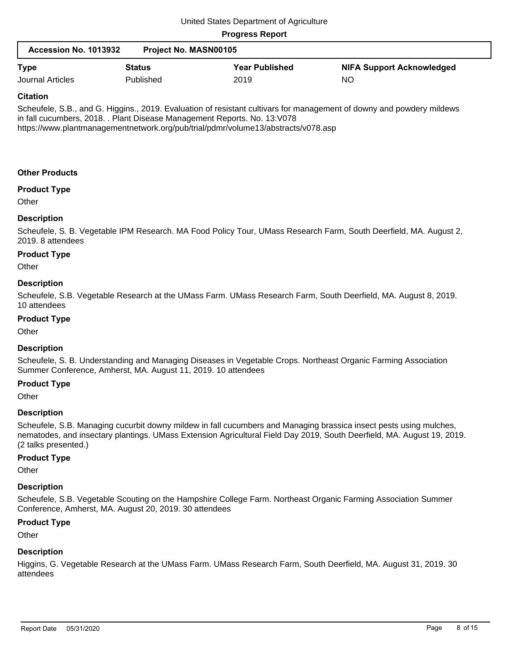| Accession No. 1013932 | <b>Project No. MASN00105</b> |                       |                                  |
|-----------------------|------------------------------|-----------------------|----------------------------------|
| <b>Type</b>           | <b>Status</b>                | <b>Year Published</b> | <b>NIFA Support Acknowledged</b> |
| Journal Articles      | Published                    | 2019                  | NΟ                               |

### **Citation**

Scheufele, S.B., and G. Higgins., 2019. Evaluation of resistant cultivars for management of downy and powdery mildews in fall cucumbers, 2018. . Plant Disease Management Reports. No. 13:V078 https://www.plantmanagementnetwork.org/pub/trial/pdmr/volume13/abstracts/v078.asp

### **Other Products**

**Product Type**

**Other** 

### **Description**

Scheufele, S. B. Vegetable IPM Research. MA Food Policy Tour, UMass Research Farm, South Deerfield, MA. August 2, 2019. 8 attendees

### **Product Type**

**Other** 

### **Description**

Scheufele, S.B. Vegetable Research at the UMass Farm. UMass Research Farm, South Deerfield, MA. August 8, 2019. 10 attendees

### **Product Type**

**Other** 

### **Description**

Scheufele, S. B. Understanding and Managing Diseases in Vegetable Crops. Northeast Organic Farming Association Summer Conference, Amherst, MA. August 11, 2019. 10 attendees

#### **Product Type**

**Other** 

### **Description**

Scheufele, S.B. Managing cucurbit downy mildew in fall cucumbers and Managing brassica insect pests using mulches, nematodes, and insectary plantings. UMass Extension Agricultural Field Day 2019, South Deerfield, MA. August 19, 2019. (2 talks presented.)

### **Product Type**

**Other** 

### **Description**

Scheufele, S.B. Vegetable Scouting on the Hampshire College Farm. Northeast Organic Farming Association Summer Conference, Amherst, MA. August 20, 2019. 30 attendees

### **Product Type**

**Other** 

### **Description**

Higgins, G. Vegetable Research at the UMass Farm. UMass Research Farm, South Deerfield, MA. August 31, 2019. 30 attendees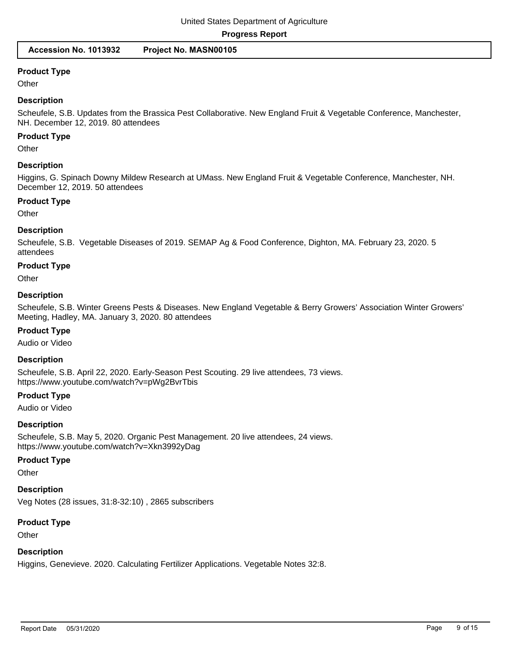#### **Product Type**

**Other** 

#### **Description**

Scheufele, S.B. Updates from the Brassica Pest Collaborative. New England Fruit & Vegetable Conference, Manchester, NH. December 12, 2019. 80 attendees

#### **Product Type**

**Other** 

#### **Description**

Higgins, G. Spinach Downy Mildew Research at UMass. New England Fruit & Vegetable Conference, Manchester, NH. December 12, 2019. 50 attendees

#### **Product Type**

**Other** 

#### **Description**

Scheufele, S.B. Vegetable Diseases of 2019. SEMAP Ag & Food Conference, Dighton, MA. February 23, 2020. 5 attendees

### **Product Type**

**Other** 

#### **Description**

Scheufele, S.B. Winter Greens Pests & Diseases. New England Vegetable & Berry Growers' Association Winter Growers' Meeting, Hadley, MA. January 3, 2020. 80 attendees

#### **Product Type**

Audio or Video

#### **Description**

Scheufele, S.B. April 22, 2020. Early-Season Pest Scouting. 29 live attendees, 73 views. https://www.youtube.com/watch?v=pWg2BvrTbis

#### **Product Type**

Audio or Video

#### **Description**

Scheufele, S.B. May 5, 2020. Organic Pest Management. 20 live attendees, 24 views. https://www.youtube.com/watch?v=Xkn3992yDag

#### **Product Type**

**Other** 

**Description**

Veg Notes (28 issues, 31:8-32:10) , 2865 subscribers

#### **Product Type**

**Other** 

#### **Description**

Higgins, Genevieve. 2020. Calculating Fertilizer Applications. Vegetable Notes 32:8.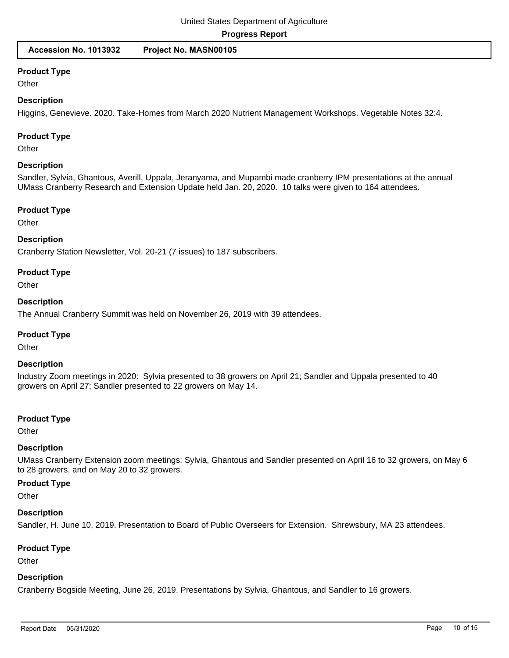#### **Product Type**

**Other** 

#### **Description**

Higgins, Genevieve. 2020. Take-Homes from March 2020 Nutrient Management Workshops. Vegetable Notes 32:4.

#### **Product Type**

**Other** 

#### **Description**

Sandler, Sylvia, Ghantous, Averill, Uppala, Jeranyama, and Mupambi made cranberry IPM presentations at the annual UMass Cranberry Research and Extension Update held Jan. 20, 2020. 10 talks were given to 164 attendees.

#### **Product Type**

**Other** 

#### **Description**

Cranberry Station Newsletter, Vol. 20-21 (7 issues) to 187 subscribers.

#### **Product Type**

**Other** 

#### **Description**

The Annual Cranberry Summit was held on November 26, 2019 with 39 attendees.

#### **Product Type**

**Other** 

#### **Description**

Industry Zoom meetings in 2020: Sylvia presented to 38 growers on April 21; Sandler and Uppala presented to 40 growers on April 27; Sandler presented to 22 growers on May 14.

#### **Product Type**

**Other** 

#### **Description**

UMass Cranberry Extension zoom meetings: Sylvia, Ghantous and Sandler presented on April 16 to 32 growers, on May 6 to 28 growers, and on May 20 to 32 growers.

### **Product Type**

**Other** 

#### **Description**

Sandler, H. June 10, 2019. Presentation to Board of Public Overseers for Extension. Shrewsbury, MA 23 attendees.

## **Product Type**

**Other** 

### **Description**

Cranberry Bogside Meeting, June 26, 2019. Presentations by Sylvia, Ghantous, and Sandler to 16 growers.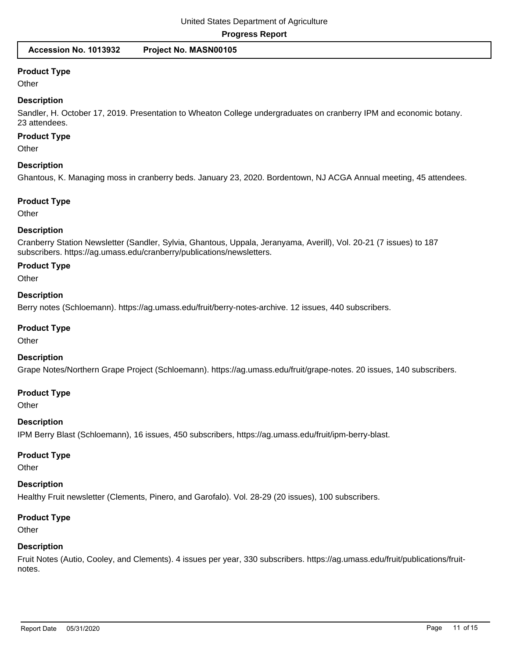### **Accession No. 1013932 Project No. MASN00105**

### **Product Type**

**Other** 

#### **Description**

Sandler, H. October 17, 2019. Presentation to Wheaton College undergraduates on cranberry IPM and economic botany. 23 attendees.

### **Product Type**

**Other** 

### **Description**

Ghantous, K. Managing moss in cranberry beds. January 23, 2020. Bordentown, NJ ACGA Annual meeting, 45 attendees.

#### **Product Type**

**Other** 

### **Description**

Cranberry Station Newsletter (Sandler, Sylvia, Ghantous, Uppala, Jeranyama, Averill), Vol. 20-21 (7 issues) to 187 subscribers. https://ag.umass.edu/cranberry/publications/newsletters.

### **Product Type**

**Other** 

#### **Description**

Berry notes (Schloemann). https://ag.umass.edu/fruit/berry-notes-archive. 12 issues, 440 subscribers.

#### **Product Type**

**Other** 

#### **Description**

Grape Notes/Northern Grape Project (Schloemann). https://ag.umass.edu/fruit/grape-notes. 20 issues, 140 subscribers.

#### **Product Type**

**Other** 

# **Description**

IPM Berry Blast (Schloemann), 16 issues, 450 subscribers, https://ag.umass.edu/fruit/ipm-berry-blast.

#### **Product Type**

**Other** 

### **Description**

Healthy Fruit newsletter (Clements, Pinero, and Garofalo). Vol. 28-29 (20 issues), 100 subscribers.

#### **Product Type**

**Other** 

### **Description**

Fruit Notes (Autio, Cooley, and Clements). 4 issues per year, 330 subscribers. https://ag.umass.edu/fruit/publications/fruitnotes.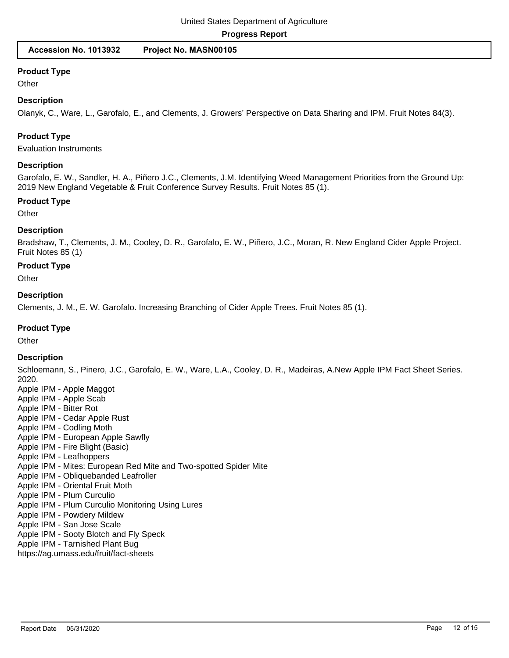### **Product Type**

**Other** 

#### **Description**

Olanyk, C., Ware, L., Garofalo, E., and Clements, J. Growers' Perspective on Data Sharing and IPM. Fruit Notes 84(3).

### **Product Type**

Evaluation Instruments

#### **Description**

Garofalo, E. W., Sandler, H. A., Piñero J.C., Clements, J.M. Identifying Weed Management Priorities from the Ground Up: 2019 New England Vegetable & Fruit Conference Survey Results. Fruit Notes 85 (1).

#### **Product Type**

**Other** 

### **Description**

Bradshaw, T., Clements, J. M., Cooley, D. R., Garofalo, E. W., Piñero, J.C., Moran, R. New England Cider Apple Project. Fruit Notes 85 (1)

#### **Product Type**

**Other** 

### **Description**

Clements, J. M., E. W. Garofalo. Increasing Branching of Cider Apple Trees. Fruit Notes 85 (1).

#### **Product Type**

**Other** 

#### **Description**

Schloemann, S., Pinero, J.C., Garofalo, E. W., Ware, L.A., Cooley, D. R., Madeiras, A.New Apple IPM Fact Sheet Series. 2020.

- Apple IPM Apple Maggot Apple IPM - Apple Scab Apple IPM - Bitter Rot Apple IPM - Cedar Apple Rust Apple IPM - Codling Moth Apple IPM - European Apple Sawfly Apple IPM - Fire Blight (Basic) Apple IPM - Leafhoppers Apple IPM - Mites: European Red Mite and Two-spotted Spider Mite Apple IPM - Obliquebanded Leafroller Apple IPM - Oriental Fruit Moth Apple IPM - Plum Curculio Apple IPM - Plum Curculio Monitoring Using Lures Apple IPM - Powdery Mildew Apple IPM - San Jose Scale
- Apple IPM Sooty Blotch and Fly Speck

Apple IPM - Tarnished Plant Bug https://ag.umass.edu/fruit/fact-sheets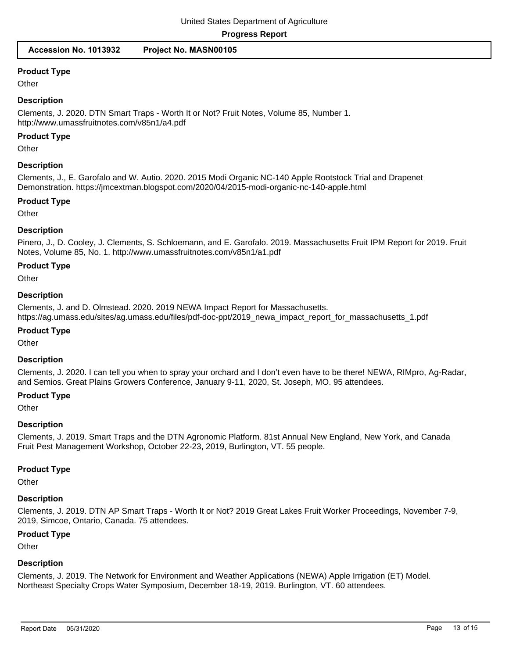### **Product Type**

**Other** 

### **Description**

Clements, J. 2020. DTN Smart Traps - Worth It or Not? Fruit Notes, Volume 85, Number 1. http://www.umassfruitnotes.com/v85n1/a4.pdf

#### **Product Type**

**Other** 

### **Description**

Clements, J., E. Garofalo and W. Autio. 2020. 2015 Modi Organic NC-140 Apple Rootstock Trial and Drapenet Demonstration. https://jmcextman.blogspot.com/2020/04/2015-modi-organic-nc-140-apple.html

### **Product Type**

**Other** 

### **Description**

Pinero, J., D. Cooley, J. Clements, S. Schloemann, and E. Garofalo. 2019. Massachusetts Fruit IPM Report for 2019. Fruit Notes, Volume 85, No. 1. http://www.umassfruitnotes.com/v85n1/a1.pdf

### **Product Type**

**Other** 

### **Description**

Clements, J. and D. Olmstead. 2020. 2019 NEWA Impact Report for Massachusetts. https://ag.umass.edu/sites/ag.umass.edu/files/pdf-doc-ppt/2019\_newa\_impact\_report\_for\_massachusetts\_1.pdf

#### **Product Type**

**Other** 

#### **Description**

Clements, J. 2020. I can tell you when to spray your orchard and I don't even have to be there! NEWA, RIMpro, Ag-Radar, and Semios. Great Plains Growers Conference, January 9-11, 2020, St. Joseph, MO. 95 attendees.

### **Product Type**

**Other** 

### **Description**

Clements, J. 2019. Smart Traps and the DTN Agronomic Platform. 81st Annual New England, New York, and Canada Fruit Pest Management Workshop, October 22-23, 2019, Burlington, VT. 55 people.

#### **Product Type**

**Other** 

### **Description**

Clements, J. 2019. DTN AP Smart Traps - Worth It or Not? 2019 Great Lakes Fruit Worker Proceedings, November 7-9, 2019, Simcoe, Ontario, Canada. 75 attendees.

#### **Product Type**

**Other** 

### **Description**

Clements, J. 2019. The Network for Environment and Weather Applications (NEWA) Apple Irrigation (ET) Model. Northeast Specialty Crops Water Symposium, December 18-19, 2019. Burlington, VT. 60 attendees.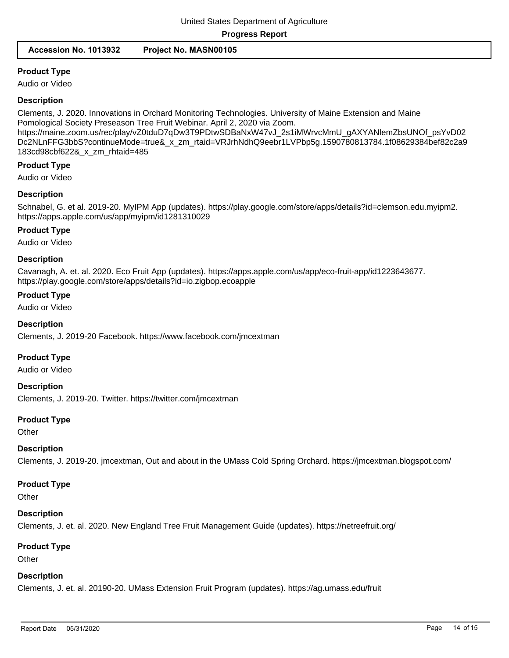### **Product Type**

Audio or Video

### **Description**

Clements, J. 2020. Innovations in Orchard Monitoring Technologies. University of Maine Extension and Maine Pomological Society Preseason Tree Fruit Webinar. April 2, 2020 via Zoom.

https://maine.zoom.us/rec/play/vZ0tduD7qDw3T9PDtwSDBaNxW47vJ\_2s1iMWrvcMmU\_gAXYANlemZbsUNOf\_psYvD02 Dc2NLnFFG3bbS?continueMode=true&\_x\_zm\_rtaid=VRJrhNdhQ9eebr1LVPbp5g.1590780813784.1f08629384bef82c2a9 183cd98cbf622&\_x\_zm\_rhtaid=485

### **Product Type**

Audio or Video

### **Description**

Schnabel, G. et al. 2019-20. MyIPM App (updates). https://play.google.com/store/apps/details?id=clemson.edu.myipm2. https://apps.apple.com/us/app/myipm/id1281310029

#### **Product Type**

Audio or Video

### **Description**

Cavanagh, A. et. al. 2020. Eco Fruit App (updates). https://apps.apple.com/us/app/eco-fruit-app/id1223643677. https://play.google.com/store/apps/details?id=io.zigbop.ecoapple

#### **Product Type**

Audio or Video

**Description**

Clements, J. 2019-20 Facebook. https://www.facebook.com/jmcextman

### **Product Type**

Audio or Video

#### **Description**

Clements, J. 2019-20. Twitter. https://twitter.com/jmcextman

#### **Product Type**

**Other** 

#### **Description**

Clements, J. 2019-20. jmcextman, Out and about in the UMass Cold Spring Orchard. https://jmcextman.blogspot.com/

### **Product Type**

**Other** 

### **Description**

Clements, J. et. al. 2020. New England Tree Fruit Management Guide (updates). https://netreefruit.org/

#### **Product Type**

**Other** 

#### **Description**

Clements, J. et. al. 20190-20. UMass Extension Fruit Program (updates). https://ag.umass.edu/fruit